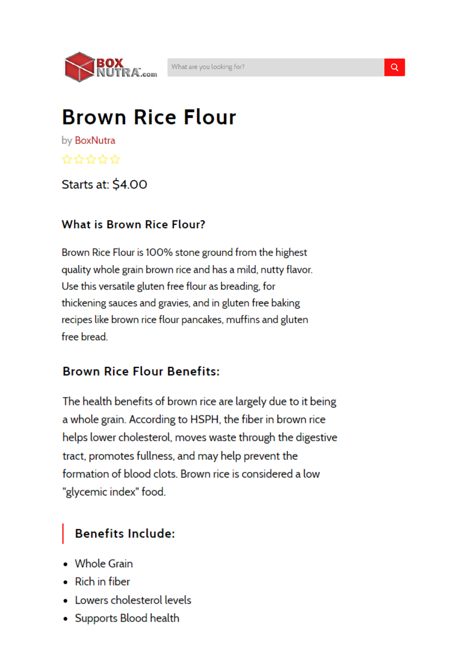

## **Brown Rice Flour**

by BoxNutra ✿☆☆☆☆

#### Starts at: \$4.00

#### **What is Brown Rice Flour?**

Brown Rice Flour is 100% stone ground from the highest quality whole grain brown rice and has a mild, nutty flavor. Use this versatile gluten free flour as breading, for thickening sauces and gravies, and in gluten free baking recipes like brown rice flour pancakes, muffins and gluten free bread.

#### **Brown Rice Flour Benefits:**

The health benefits of brown rice are largely due to it being a whole grain. According to HSPH, the fiber in brown rice helps lower cholesterol, moves waste through the digestive tract, promotes fullness, and may help prevent the formation of blood clots. Brown rice is considered a low "glycemic index" food.

#### **Benefits Include:**

- Whole Grain
- Rich in fiber
- Lowers cholesterol levels
- Supports Blood health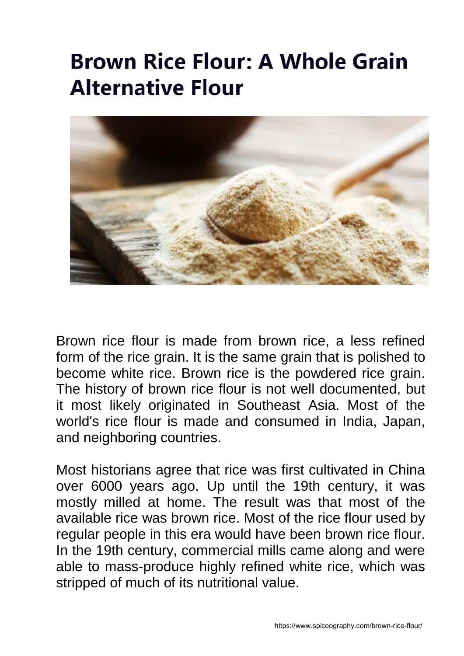# **Brown Rice Flour: A Whole Grain Alternative Flour**



Brown rice flour is made from brown rice, a less refined form of the rice grain. It is the same grain that is polished to become white rice. Brown rice is the powdered rice grain. The history of brown rice flour is not well documented, but it most likely originated in Southeast Asia. Most of the world's rice flour is made and consumed in India, Japan, and neighboring countries.

Most historians agree that rice was first cultivated in China over 6000 years ago. Up until the 19th century, it was mostly milled at home. The result was that most of the available rice was brown rice. Most of the rice flour used by regular people in this era would have been brown rice flour. In the 19th century, commercial mills came along and were able to mass-produce highly refined white rice, which was stripped of much of its nutritional value.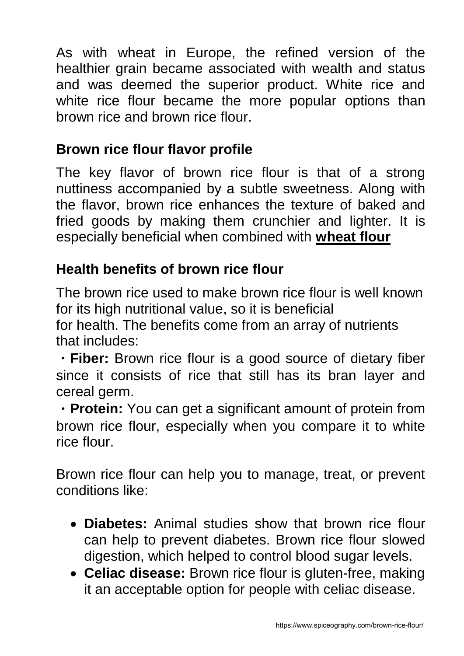As with wheat in Europe, the refined version of the healthier grain became associated with wealth and status and was deemed the superior product. White rice and white rice flour became the more popular options than brown rice and brown rice flour.

#### **Brown rice flour flavor profile**

The key flavor of brown rice flour is that of a strong nuttiness accompanied by a subtle sweetness. Along with the flavor, brown rice enhances the texture of baked and fried goods by making them crunchier and lighter. It is especially beneficial when combined with **wheat flour**

## **Health benefits of brown rice flour**

The brown rice used to make brown rice flour is well known for its high nutritional value, so it is beneficial

for health. The benefits come from an array of nutrients that includes:

• **Fiber:** Brown rice flour is a good source of dietary fiber since it consists of rice that still has its bran layer and cereal germ.

ㆍ**Protein:** You can get a significant amount of protein from brown rice flour, especially when you compare it to white rice flour.

Brown rice flour can help you to manage, treat, or prevent conditions like:

- **Diabetes:** Animal studies show that brown rice flour can help to prevent diabetes. Brown rice flour slowed digestion, which helped to control blood sugar levels.
- **Celiac disease:** Brown rice flour is gluten-free, making it an acceptable option for people with celiac disease.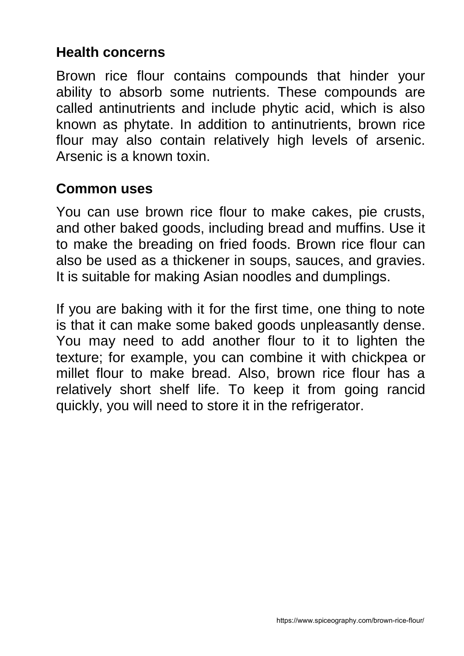#### **Health concerns**

Brown rice flour contains compounds that hinder your ability to absorb some nutrients. These compounds are called antinutrients and include phytic acid, which is also known as phytate. In addition to antinutrients, brown rice flour may also contain relatively high levels of arsenic. Arsenic is a known toxin.

## **Common uses**

You can use brown rice flour to make cakes, pie crusts, and other baked goods, including bread and muffins. Use it to make the breading on fried foods. Brown rice flour can also be used as a thickener in soups, sauces, and gravies. It is suitable for making Asian noodles and dumplings.

If you are baking with it for the first time, one thing to note is that it can make some baked goods unpleasantly dense. You may need to add another flour to it to lighten the texture; for example, you can combine it with chickpea or millet flour to make bread. Also, brown rice flour has a relatively short shelf life. To keep it from going rancid quickly, you will need to store it in the refrigerator.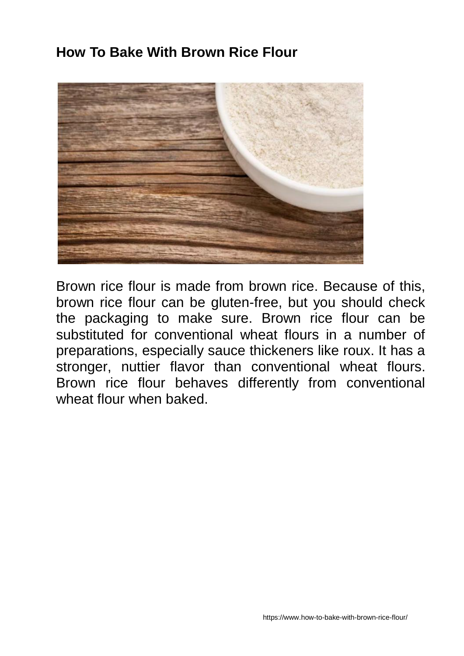#### **How To Bake With Brown Rice Flour**



Brown rice flour is made from brown rice. Because of this, brown rice flour can be gluten-free, but you should check the packaging to make sure. Brown rice flour can be substituted for conventional wheat flours in a number of preparations, especially sauce thickeners like roux. It has a stronger, nuttier flavor than conventional wheat flours. Brown rice flour behaves differently from conventional wheat flour when baked.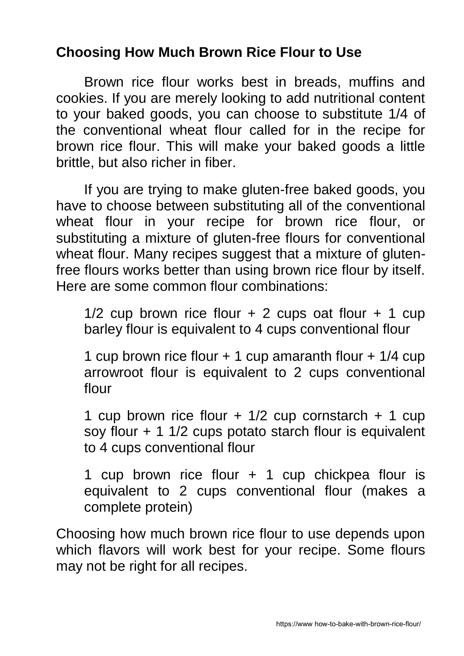#### **Choosing How Much Brown Rice Flour to Use**

Brown rice flour works best in breads, muffins and cookies. If you are merely looking to add nutritional content to your baked goods, you can choose to substitute 1/4 of the conventional wheat flour called for in the recipe for brown rice flour. This will make your baked goods a little brittle, but also richer in fiber.

If you are trying to make gluten-free baked goods, you have to choose between substituting all of the conventional wheat flour in your recipe for brown rice flour, or substituting a mixture of gluten-free flours for conventional wheat flour. Many recipes suggest that a mixture of glutenfree flours works better than using brown rice flour by itself. Here are some common flour combinations:

1/2 cup brown rice flour  $+ 2$  cups oat flour  $+ 1$  cup barley flour is equivalent to 4 cups conventional flour

1 cup brown rice flour + 1 cup amaranth flour + 1/4 cup arrowroot flour is equivalent to 2 cups conventional flour

1 cup brown rice flour  $+$  1/2 cup cornstarch  $+$  1 cup soy flour  $+$  1 1/2 cups potato starch flour is equivalent to 4 cups conventional flour

1 cup brown rice flour + 1 cup chickpea flour is equivalent to 2 cups conventional flour (makes a complete protein)

Choosing how much brown rice flour to use depends upon which flavors will work best for your recipe. Some flours may not be right for all recipes.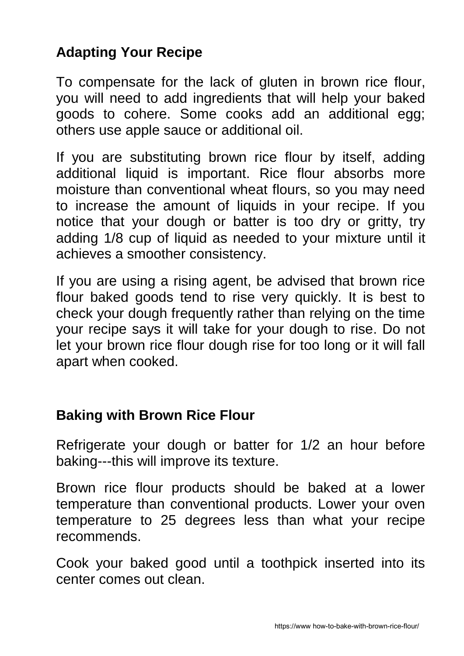## **Adapting Your Recipe**

To compensate for the lack of gluten in brown rice flour, you will need to add ingredients that will help your baked goods to cohere. Some cooks add an additional egg; others use apple sauce or additional oil.

If you are substituting brown rice flour by itself, adding additional liquid is important. Rice flour absorbs more moisture than conventional wheat flours, so you may need to increase the amount of liquids in your recipe. If you notice that your dough or batter is too dry or gritty, try adding 1/8 cup of liquid as needed to your mixture until it achieves a smoother consistency.

If you are using a rising agent, be advised that brown rice flour baked goods tend to rise very quickly. It is best to check your dough frequently rather than relying on the time your recipe says it will take for your dough to rise. Do not let your brown rice flour dough rise for too long or it will fall apart when cooked.

#### **Baking with Brown Rice Flour**

Refrigerate your dough or batter for 1/2 an hour before baking---this will improve its texture.

Brown rice flour products should be baked at a lower temperature than conventional products. Lower your oven temperature to 25 degrees less than what your recipe recommends.

Cook your baked good until a toothpick inserted into its center comes out clean.